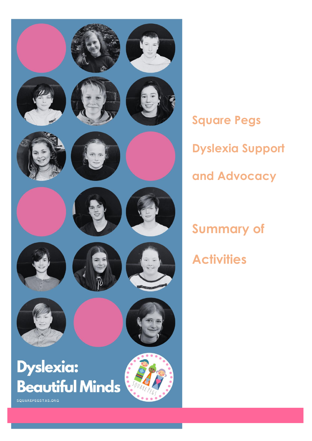

**Square Pegs Dyslexia Support and Advocacy**

**Summary of Activities**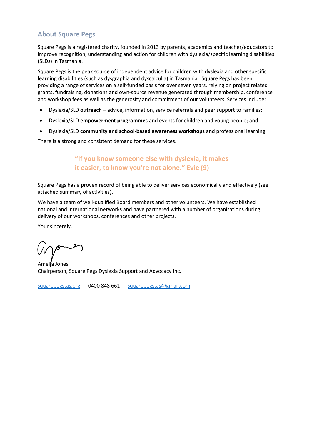## **About Square Pegs**

Square Pegs is a registered charity, founded in 2013 by parents, academics and teacher/educators to improve recognition, understanding and action for children with dyslexia/specific learning disabilities (SLDs) in Tasmania.

Square Pegs is the peak source of independent advice for children with dyslexia and other specific learning disabilities (such as dysgraphia and dyscalculia) in Tasmania. Square Pegs has been providing a range of services on a self-funded basis for over seven years, relying on project related grants, fundraising, donations and own-source revenue generated through membership, conference and workshop fees as well as the generosity and commitment of our volunteers. Services include:

- Dyslexia/SLD **outreach** advice, information, service referrals and peer support to families;
- Dyslexia/SLD **empowerment programmes** and events for children and young people; and
- Dyslexia/SLD **community and school-based awareness workshops** and professional learning.

There is a strong and consistent demand for these services.

# **"If you know someone else with dyslexia, it makes it easier, to know you're not alone." Evie (9)**

Square Pegs has a proven record of being able to deliver services economically and effectively (see attached summary of activities).

We have a team of well-qualified Board members and other volunteers. We have established national and international networks and have partnered with a number of organisations during delivery of our workshops, conferences and other projects.

Your sincerely,

Amelia Jones Chairperson, Square Pegs Dyslexia Support and Advocacy Inc.

[squarepegstas.org](mailto:squarepegstas.org) | 0400 848 661 | [squarepegstas@gmail.com](mailto:squarepegstas@gmail.com)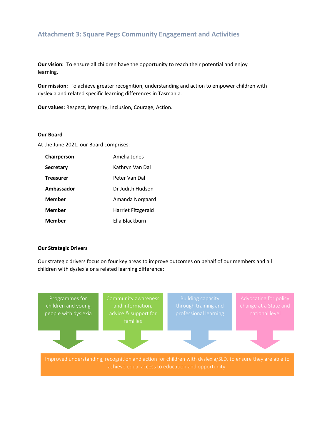## **Attachment 3: Square Pegs Community Engagement and Activities**

**Our vision:** To ensure all children have the opportunity to reach their potential and enjoy learning.

**Our mission:** To achieve greater recognition, understanding and action to empower children with dyslexia and related specific learning differences in Tasmania.

**Our values:** Respect, Integrity, Inclusion, Courage, Action.

#### **Our Board**

At the June 2021, our Board comprises:

| Chairperson      | Amelia Jones       |
|------------------|--------------------|
| Secretary        | Kathryn Van Dal    |
| <b>Treasurer</b> | Peter Van Dal      |
| Ambassador       | Dr Judith Hudson   |
| <b>Member</b>    | Amanda Norgaard    |
| <b>Member</b>    | Harriet Fitzgerald |
| <b>Member</b>    | Ella Blackburn     |

#### **Our Strategic Drivers**

Our strategic drivers focus on four key areas to improve outcomes on behalf of our members and all children with dyslexia or a related learning difference:

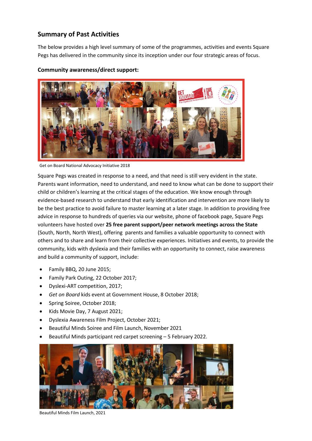# **Summary of Past Activities**

The below provides a high level summary of some of the programmes, activities and events Square Pegs has delivered in the community since its inception under our four strategic areas of focus.

## **Community awareness/direct support:**



Get on Board National Advocacy Initiative 2018

Square Pegs was created in response to a need, and that need is still very evident in the state. Parents want information, need to understand, and need to know what can be done to support their child or children's learning at the critical stages of the education. We know enough through evidence-based research to understand that early identification and intervention are more likely to be the best practice to avoid failure to master learning at a later stage. In addition to providing free advice in response to hundreds of queries via our website, phone of facebook page, Square Pegs volunteers have hosted over **25 free parent support/peer network meetings across the State** (South, North, North West), offering parents and families a valuable opportunity to connect with others and to share and learn from their collective experiences. Initiatives and events, to provide the community, kids with dyslexia and their families with an opportunity to connect, raise awareness and build a community of support, include:

- Family BBQ, 20 June 2015;
- Family Park Outing, 22 October 2017;
- Dyslexi-ART competition, 2017;
- *Get on Board* kids event at Government House, 8 October 2018;
- Spring Soiree, October 2018;
- Kids Movie Day, 7 August 2021;
- Dyslexia Awareness Film Project, October 2021;
- Beautiful Minds Soiree and Film Launch, November 2021
- Beautiful Minds participant red carpet screening 5 February 2022.



Beautiful Minds Film Launch, 2021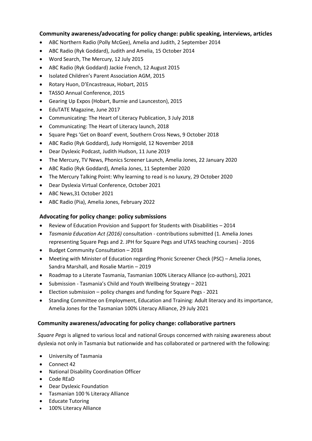### **Community awareness/advocating for policy change: public speaking, interviews, articles**

- ABC Northern Radio (Polly McGee), Amelia and Judith, 2 September 2014
- ABC Radio (Ryk Goddard), Judith and Amelia, 15 October 2014
- Word Search, The Mercury, 12 July 2015
- ABC Radio (Ryk Goddard) Jackie French, 12 August 2015
- Isolated Children's Parent Association AGM, 2015
- Rotary Huon, D'Encastreaux, Hobart, 2015
- TASSO Annual Conference, 2015
- Gearing Up Expos (Hobart, Burnie and Launceston), 2015
- EduTATE Magazine, June 2017
- Communicating: The Heart of Literacy Publication, 3 July 2018
- Communicating: The Heart of Literacy launch, 2018
- Square Pegs 'Get on Board' event, Southern Cross News, 9 October 2018
- ABC Radio (Ryk Goddard), Judy Hornigold, 12 November 2018
- Dear Dyslexic Podcast, Judith Hudson, 11 June 2019
- The Mercury, TV News, Phonics Screener Launch, Amelia Jones, 22 January 2020
- ABC Radio (Ryk Goddard), Amelia Jones, 11 September 2020
- The Mercury Talking Point: Why learning to read is no luxury, 29 October 2020
- Dear Dyslexia Virtual Conference, October 2021
- ABC News,31 October 2021
- ABC Radio (Pia), Amelia Jones, February 2022

### **Advocating for policy change: policy submissions**

- Review of Education Provision and Support for Students with Disabilities 2014
- *Tasmania Education Act (2016)* consultation contributions submitted (1. Amelia Jones representing Square Pegs and 2. JPH for Square Pegs and UTAS teaching courses) - 2016
- Budget Community Consultation 2018
- Meeting with Minister of Education regarding Phonic Screener Check (PSC) Amelia Jones, Sandra Marshall, and Rosalie Martin – 2019
- Roadmap to a Literate Tasmania, Tasmanian 100% Literacy Alliance (co-authors), 2021
- Submission Tasmania's Child and Youth Wellbeing Strategy 2021
- Election submission policy changes and funding for Square Pegs 2021
- Standing Committee on Employment, Education and Training: Adult literacy and its importance, Amelia Jones for the Tasmanian 100% Literacy Alliance, 29 July 2021

#### **Community awareness/advocating for policy change: collaborative partners**

*Square Pegs* is aligned to various local and national Groups concerned with raising awareness about dyslexia not only in Tasmania but nationwide and has collaborated or partnered with the following:

- University of Tasmania
- Connect 42
- National Disability Coordination Officer
- Code REaD
- Dear Dyslexic Foundation
- Tasmanian 100 % Literacy Alliance
- Educate Tutoring
- 100% Literacy Alliance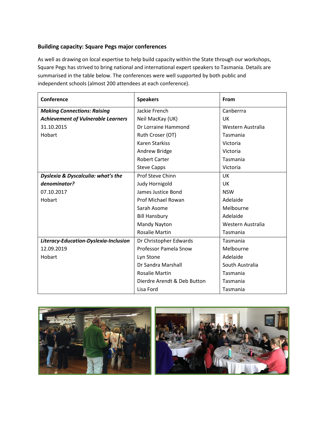## **Building capacity: Square Pegs major conferences**

As well as drawing on local expertise to help build capacity within the State through our workshops, Square Pegs has strived to bring national and international expert speakers to Tasmania. Details are summarised in the table below. The conferences were well supported by both public and independent schools (almost 200 attendees at each conference).

| Conference                                | <b>Speakers</b>             | From              |
|-------------------------------------------|-----------------------------|-------------------|
| <b>Making Connections: Raising</b>        | Jackie French               | Canberrra         |
| <b>Achievement of Vulnerable Learners</b> | Neil MacKay (UK)            | <b>UK</b>         |
| 31.10.2015                                | Dr Lorraine Hammond         | Western Australia |
| Hobart                                    | Ruth Croser (OT)            | Tasmania          |
|                                           | <b>Karen Starkiss</b>       | Victoria          |
|                                           | Andrew Bridge               | Victoria          |
|                                           | <b>Robert Carter</b>        | Tasmania          |
|                                           | <b>Steve Capps</b>          | Victoria          |
| Dyslexia & Dyscalculia: what's the        | Prof Steve Chinn            | UK                |
| denominator?                              | Judy Hornigold              | <b>UK</b>         |
| 07.10.2017                                | James Justice Bond          | <b>NSW</b>        |
| Hobart                                    | Prof Michael Rowan          | Adelaide          |
|                                           | Sarah Asome                 | Melbourne         |
|                                           | <b>Bill Hansbury</b>        | Adelaide          |
|                                           | Mandy Nayton                | Western Australia |
|                                           | <b>Rosalie Martin</b>       | Tasmania          |
| Literacy-Education-Dyslexia-Inclusion     | Dr Christopher Edwards      | Tasmania          |
| 12.09.2019                                | Professor Pamela Snow       | Melbourne         |
| Hobart                                    | Lyn Stone                   | Adelaide          |
|                                           | Dr Sandra Marshall          | South Australia   |
|                                           | <b>Rosalie Martin</b>       | Tasmania          |
|                                           | Dierdre Arendt & Deb Button | Tasmania          |
|                                           | Lisa Ford                   | Tasmania          |



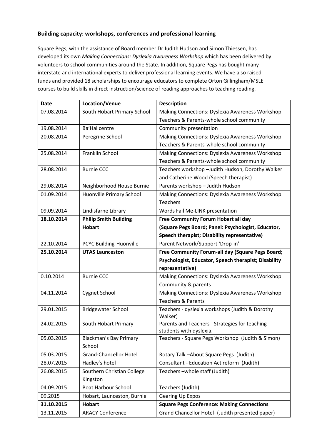### **Building capacity: workshops, conferences and professional learning**

Square Pegs, with the assistance of Board member Dr Judith Hudson and Simon Thiessen, has developed its own *Making Connections: Dyslexia Awareness Workshop* which has been delivered by volunteers to school communities around the State. In addition, Square Pegs has bought many interstate and international experts to deliver professional learning events. We have also raised funds and provided 18 scholarships to encourage educators to complete Orton Gillingham/MSLE courses to build skills in direct instruction/science of reading approaches to teaching reading.

| <b>Date</b> | Location/Venue                | <b>Description</b>                                                        |
|-------------|-------------------------------|---------------------------------------------------------------------------|
| 07.08.2014  | South Hobart Primary School   | Making Connections: Dyslexia Awareness Workshop                           |
|             |                               | Teachers & Parents-whole school community                                 |
| 19.08.2014  | Ba'Hai centre                 | Community presentation                                                    |
| 20.08.2014  | Peregrine School-             | Making Connections: Dyslexia Awareness Workshop                           |
|             |                               | Teachers & Parents-whole school community                                 |
| 25.08.2014  | Franklin School               | Making Connections: Dyslexia Awareness Workshop                           |
|             |                               | Teachers & Parents-whole school community                                 |
| 28.08.2014  | <b>Burnie CCC</b>             | Teachers workshop - Judith Hudson, Dorothy Walker                         |
|             |                               | and Catherine Wood (Speech therapist)                                     |
| 29.08.2014  | Neighborhood House Burnie     | Parents workshop - Judith Hudson                                          |
| 01.09.2014  | Huonville Primary School      | Making Connections: Dyslexia Awareness Workshop                           |
|             |                               | <b>Teachers</b>                                                           |
| 09.09.2014  | Lindisfarne Library           | Words Fail Me-LINK presentation                                           |
| 18.10.2014  | <b>Philip Smith Building</b>  | Free Community Forum Hobart all day                                       |
|             | <b>Hobart</b>                 | (Square Pegs Board; Panel: Psychologist, Educator,                        |
|             |                               | Speech therapist; Disability representative)                              |
| 22.10.2014  | PCYC Building-Huonville       | Parent Network/Support 'Drop-in'                                          |
| 25.10.2014  | <b>UTAS Launceston</b>        | Free Community Forum-all day (Square Pegs Board;                          |
|             |                               | Psychologist, Educator, Speech therapist; Disability                      |
|             |                               | representative)                                                           |
| 0.10.2014   | <b>Burnie CCC</b>             | Making Connections: Dyslexia Awareness Workshop                           |
|             |                               | Community & parents                                                       |
| 04.11.2014  | <b>Cygnet School</b>          | Making Connections: Dyslexia Awareness Workshop                           |
|             |                               | <b>Teachers &amp; Parents</b>                                             |
| 29.01.2015  | <b>Bridgewater School</b>     | Teachers - dyslexia workshops (Judith & Dorothy                           |
| 24.02.2015  |                               | Walker)                                                                   |
|             | South Hobart Primary          | Parents and Teachers - Strategies for teaching<br>students with dyslexia. |
| 05.03.2015  | <b>Blackman's Bay Primary</b> | Teachers - Square Pegs Workshop (Judith & Simon)                          |
|             | School                        |                                                                           |
| 05.03.2015  | <b>Grand-Chancellor Hotel</b> | Rotary Talk - About Square Pegs (Judith)                                  |
| 28.07.2015  | Hadley's hotel                | Consultant - Education Act reform (Judith)                                |
| 26.08.2015  | Southern Christian College    | Teachers-whole staff (Judith)                                             |
|             | Kingston                      |                                                                           |
| 04.09.2015  | <b>Boat Harbour School</b>    | Teachers (Judith)                                                         |
| 09.2015     | Hobart, Launceston, Burnie    | <b>Gearing Up Expos</b>                                                   |
| 31.10.2015  | <b>Hobart</b>                 | <b>Square Pegs Conference: Making Connections</b>                         |
| 13.11.2015  | <b>ARACY Conference</b>       | Grand Chancellor Hotel- (Judith presented paper)                          |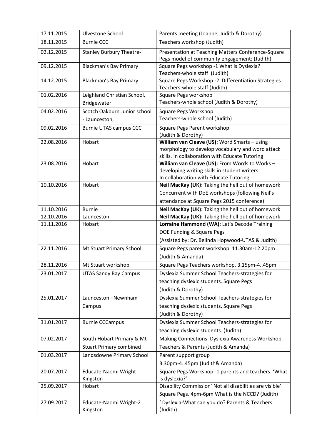| 17.11.2015 | Ulvestone School                 | Parents meeting (Joanne, Judith & Dorothy)                                                         |
|------------|----------------------------------|----------------------------------------------------------------------------------------------------|
| 18.11.2015 | <b>Burnie CCC</b>                | Teachers workshop (Judith)                                                                         |
| 02.12.2015 | <b>Stanley Burbury Theatre-</b>  | Presentation at Teaching Matters Conference-Square                                                 |
|            |                                  | Pegs model of community engagement; (Judith)                                                       |
| 09.12.2015 | <b>Blackman's Bay Primary</b>    | Square Pegs workshop -1 What is Dyslexia?                                                          |
|            |                                  | Teachers-whole staff (Judith)                                                                      |
| 14.12.2015 | <b>Blackman's Bay Primary</b>    | Square Pegs Workshop -2 Differentiation Strategies                                                 |
|            |                                  | Teachers-whole staff (Judith)                                                                      |
| 01.02.2016 | Leighland Christian School,      | Square Pegs workshop<br>Teachers-whole school (Judith & Dorothy)                                   |
|            | Bridgewater                      |                                                                                                    |
| 04.02.2016 | Scotch Oakburn Junior school     | Square Pegs Workshop                                                                               |
|            | - Launceston,                    | Teachers-whole school (Judith)                                                                     |
| 09.02.2016 | <b>Burnie UTAS campus CCC</b>    | Square Pegs Parent workshop                                                                        |
|            |                                  | (Judith & Dorothy)                                                                                 |
| 22.08.2016 | Hobart                           | William van Cleave (US): Word Smarts - using                                                       |
|            |                                  | morphology to develop vocabulary and word attack<br>skills. In collaboration with Educate Tutoring |
| 23.08.2016 | Hobart                           | William van Cleave (US): From Words to Works -                                                     |
|            |                                  | developing writing skills in student writers.                                                      |
|            |                                  | In collaboration with Educate Tutoring                                                             |
| 10.10.2016 | Hobart                           | Neil MacKay (UK): Taking the hell out of homework                                                  |
|            |                                  | Concurrent with DoE workshops (following Neil's                                                    |
|            |                                  | attendance at Square Pegs 2015 conference)                                                         |
| 11.10.2016 | <b>Burnie</b>                    | Neil MacKay (UK): Taking the hell out of homework                                                  |
| 12.10.2016 | Launceston                       | Neil MacKay (UK): Taking the hell out of homework                                                  |
| 11.11.2016 | Hobart                           | Lorraine Hammond (WA): Let's Decode Training                                                       |
|            |                                  |                                                                                                    |
|            |                                  | DOE Funding & Square Pegs                                                                          |
|            |                                  | (Assisted by: Dr. Belinda Hopwood-UTAS & Judith)                                                   |
| 22.11.2016 | Mt Stuart Primary School         | Square Pegs parent workshop. 11.30am-12.20pm                                                       |
|            |                                  | (Judith & Amanda)                                                                                  |
| 28.11.2016 | Mt Stuart workshop               | Square Pegs Teachers workshop. 3.15pm-445pm                                                        |
| 23.01.2017 | <b>UTAS Sandy Bay Campus</b>     | Dyslexia Summer School Teachers-strategies for                                                     |
|            |                                  | teaching dyslexic students. Square Pegs                                                            |
|            |                                  |                                                                                                    |
|            | Launceston-Newnham               | (Judith & Dorothy)                                                                                 |
| 25.01.2017 |                                  | Dyslexia Summer School Teachers-strategies for                                                     |
|            | Campus                           | teaching dyslexic students. Square Pegs                                                            |
|            |                                  | (Judith & Dorothy)                                                                                 |
| 31.01.2017 | <b>Burnie CCCampus</b>           | Dyslexia Summer School Teachers-strategies for                                                     |
|            |                                  | teaching dyslexic students. (Judith)                                                               |
| 07.02.2017 | South Hobart Primary & Mt        | Making Connections: Dyslexia Awareness Workshop                                                    |
|            | <b>Stuart Primary combined</b>   | Teachers & Parents (Judith & Amanda)                                                               |
| 01.03.2017 | Landsdowne Primary School        | Parent support group                                                                               |
|            |                                  | 3.30pm-445pm (Judith& Amanda)                                                                      |
| 20.07.2017 | Educate-Naomi Wright<br>Kingston | Square Pegs Workshop -1 parents and teachers. 'What<br>is dyslexia?'                               |
| 25.09.2017 | Hobart                           | Disability Commission' Not all disabilities are visible'                                           |
|            |                                  | Square Pegs. 4pm-6pm What is the NCCD? (Judith)                                                    |
| 27.09.2017 | Educate-Naomi Wright-2           | ' Dyslexia-What can you do? Parents & Teachers                                                     |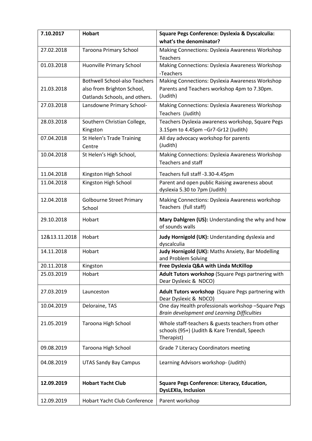| 7.10.2017     | <b>Hobart</b>                        | Square Pegs Conference: Dyslexia & Dyscalculia:                              |
|---------------|--------------------------------------|------------------------------------------------------------------------------|
|               |                                      | what's the denominator?                                                      |
| 27.02.2018    | <b>Taroona Primary School</b>        | Making Connections: Dyslexia Awareness Workshop                              |
|               |                                      | Teachers                                                                     |
| 01.03.2018    | Huonville Primary School             | <b>Making Connections: Dyslexia Awareness Workshop</b>                       |
|               |                                      | -Teachers                                                                    |
|               | <b>Bothwell School-also Teachers</b> | Making Connections: Dyslexia Awareness Workshop                              |
| 21.03.2018    | also from Brighton School,           | Parents and Teachers workshop 4pm to 7.30pm.                                 |
|               | Oatlands Schools, and others.        | (Judith)                                                                     |
| 27.03.2018    | Lansdowne Primary School-            | Making Connections: Dyslexia Awareness Workshop                              |
|               |                                      | Teachers (Judith)                                                            |
| 28.03.2018    | Southern Christian College,          | Teachers Dyslexia awareness workshop, Square Pegs                            |
|               | Kingston                             | 3.15pm to 4.45pm - Gr7-Gr12 (Judith)                                         |
| 07.04.2018    | St Helen's Trade Training            | All day advocacy workshop for parents<br>(Judith)                            |
|               | Centre                               |                                                                              |
| 10.04.2018    | St Helen's High School,              | Making Connections: Dyslexia Awareness Workshop<br><b>Teachers and staff</b> |
|               |                                      |                                                                              |
| 11.04.2018    | Kingston High School                 | Teachers full staff -3.30-4.45pm                                             |
| 11.04.2018    | Kingston High School                 | Parent and open public Raising awareness about                               |
|               |                                      | dyslexia 5.30 to 7pm (Judith)                                                |
| 12.04.2018    | <b>Golbourne Street Primary</b>      | Making Connections: Dyslexia Awareness workshop                              |
|               | School                               | Teachers (full staff)                                                        |
| 29.10.2018    | Hobart                               | Mary Dahlgren (US): Understanding the why and how                            |
|               |                                      | of sounds walls                                                              |
| 12&13.11.2018 | Hobart                               | Judy Hornigold (UK): Understanding dyslexia and                              |
|               |                                      | dyscalculia                                                                  |
| 14.11.2018    | Hobart                               | Judy Hornigold (UK): Maths Anxiety, Bar Modelling                            |
|               |                                      | and Problem Solving                                                          |
| 20.11.2018    | Kingston                             | Free Dyslexia Q&A with Linda McKillop                                        |
| 25.03.2019    | Hobart                               | Adult Tutors workshop (Square Pegs partnering with<br>Dear Dyslexic & NDCO)  |
| 27.03.2019    | Launceston                           | Adult Tutors workshop (Square Pegs partnering with                           |
|               |                                      | Dear Dyslexic & NDCO)                                                        |
| 10.04.2019    | Deloraine, TAS                       | One day Health professionals workshop -Square Pegs                           |
|               |                                      | Brain development and Learning Difficulties                                  |
| 21.05.2019    | Taroona High School                  | Whole staff-teachers & guests teachers from other                            |
|               |                                      | schools (95+) (Judith & Kare Trendall, Speech                                |
|               |                                      | Therapist)                                                                   |
| 09.08.2019    | Taroona High School                  | Grade 7 Literacy Coordinators meeting                                        |
|               |                                      |                                                                              |
| 04.08.2019    | <b>UTAS Sandy Bay Campus</b>         | Learning Advisors workshop- (Judith)                                         |
|               |                                      |                                                                              |
| 12.09.2019    | <b>Hobart Yacht Club</b>             | <b>Square Pegs Conference: Literacy, Education,</b>                          |
|               |                                      | <b>DysLEXIa, Inclusion</b>                                                   |
| 12.09.2019    | <b>Hobart Yacht Club Conference</b>  | Parent workshop                                                              |